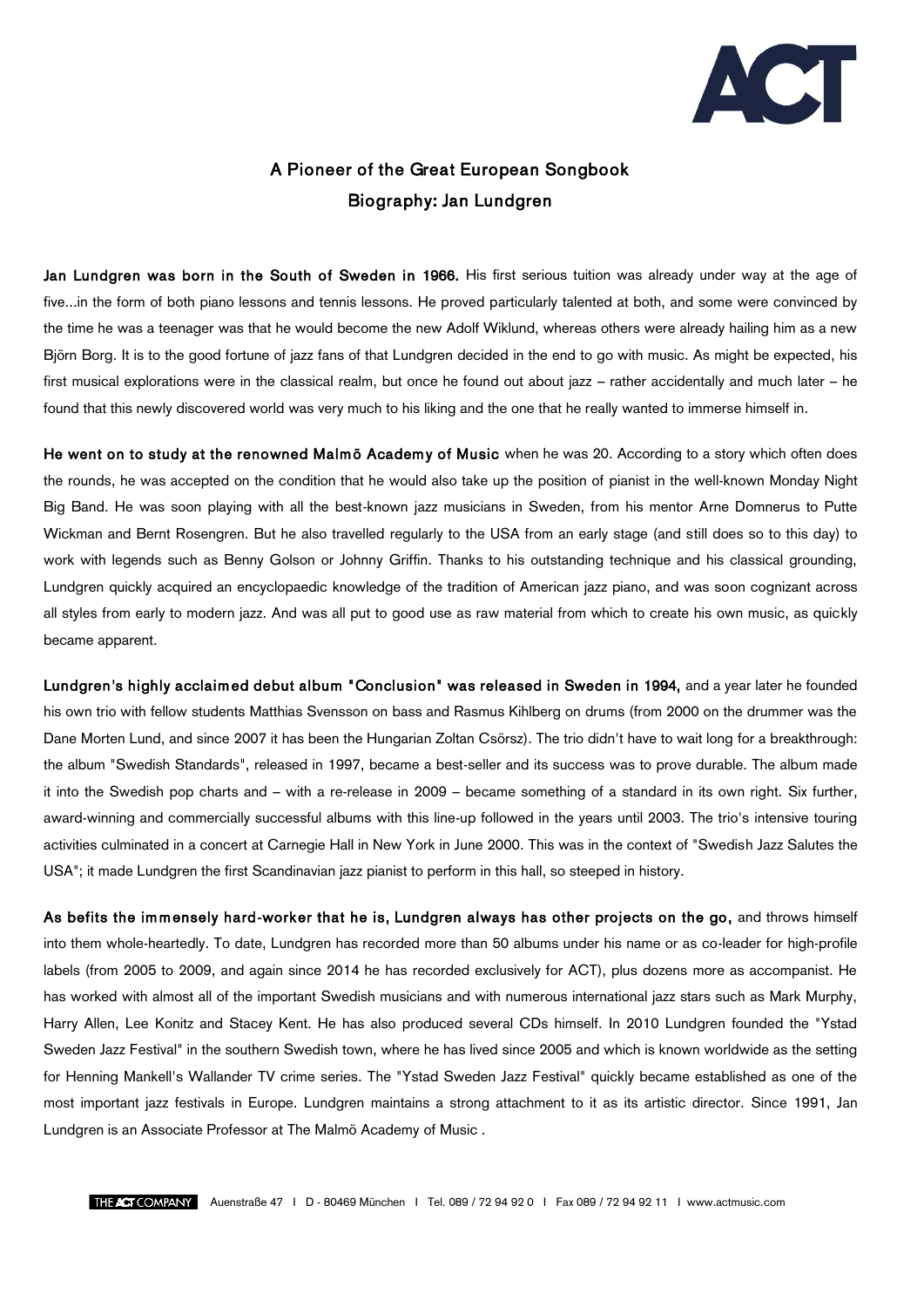

## A Pioneer of the Great European Songbook Biography: Jan Lundgren

Jan Lundgren was born in the South of Sweden in 1966. His first serious tuition was already under way at the age of five...in the form of both piano lessons and tennis lessons. He proved particularly talented at both, and some were convinced by the time he was a teenager was that he would become the new Adolf Wiklund, whereas others were already hailing him as a new Björn Borg. It is to the good fortune of jazz fans of that Lundgren decided in the end to go with music. As might be expected, his first musical explorations were in the classical realm, but once he found out about jazz – rather accidentally and much later – he found that this newly discovered world was very much to his liking and the one that he really wanted to immerse himself in.

He went on to study at the renowned Malmö Academy of Music when he was 20. According to a story which often does the rounds, he was accepted on the condition that he would also take up the position of pianist in the well-known Monday Night Big Band. He was soon playing with all the best-known jazz musicians in Sweden, from his mentor Arne Domnerus to Putte Wickman and Bernt Rosengren. But he also travelled regularly to the USA from an early stage (and still does so to this day) to work with legends such as Benny Golson or Johnny Griffin. Thanks to his outstanding technique and his classical grounding, Lundgren quickly acquired an encyclopaedic knowledge of the tradition of American jazz piano, and was soon cognizant across all styles from early to modern jazz. And was all put to good use as raw material from which to create his own music, as quickly became apparent.

Lundgren's highly acclaim ed debut album "Conclusion" was released in Sweden in 1994, and a year later he founded his own trio with fellow students Matthias Svensson on bass and Rasmus Kihlberg on drums (from 2000 on the drummer was the Dane Morten Lund, and since 2007 it has been the Hungarian Zoltan Csörsz). The trio didn't have to wait long for a breakthrough: the album "Swedish Standards", released in 1997, became a best-seller and its success was to prove durable. The album made it into the Swedish pop charts and – with a re-release in 2009 – became something of a standard in its own right. Six further, award-winning and commercially successful albums with this line-up followed in the years until 2003. The trio's intensive touring activities culminated in a concert at Carnegie Hall in New York in June 2000. This was in the context of "Swedish Jazz Salutes the USA"; it made Lundgren the first Scandinavian jazz pianist to perform in this hall, so steeped in history.

As befits the immensely hard-worker that he is, Lundgren always has other projects on the go, and throws himself into them whole-heartedly. To date, Lundgren has recorded more than 50 albums under his name or as co-leader for high-profile labels (from 2005 to 2009, and again since 2014 he has recorded exclusively for ACT), plus dozens more as accompanist. He has worked with almost all of the important Swedish musicians and with numerous international jazz stars such as Mark Murphy, Harry Allen, Lee Konitz and Stacey Kent. He has also produced several CDs himself. In 2010 Lundgren founded the "Ystad Sweden Jazz Festival" in the southern Swedish town, where he has lived since 2005 and which is known worldwide as the setting for Henning Mankell's Wallander TV crime series. The "Ystad Sweden Jazz Festival" quickly became established as one of the most important jazz festivals in Europe. Lundgren maintains a strong attachment to it as its artistic director. Since 1991, Jan Lundgren is an Associate Professor at The Malmö Academy of Music .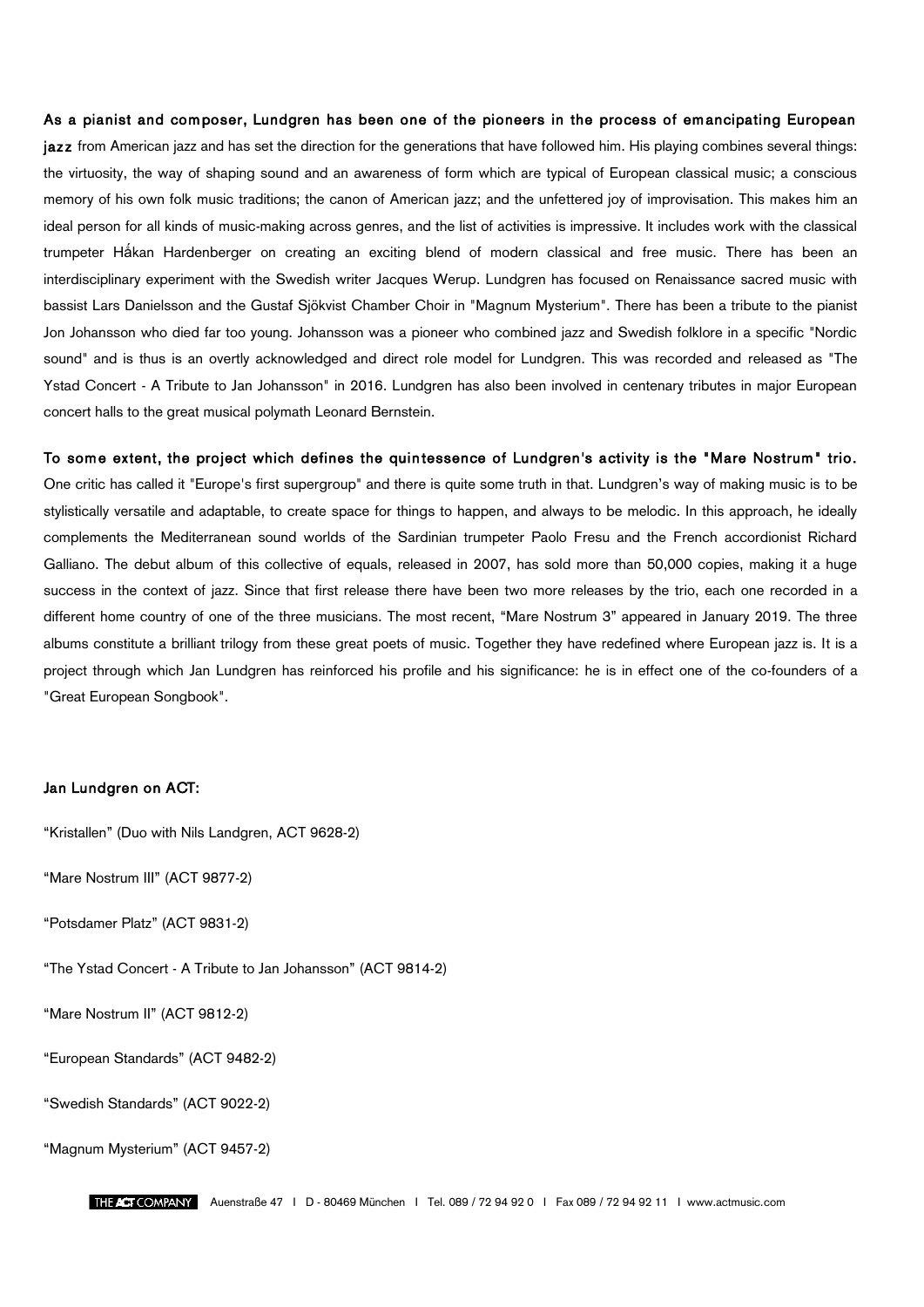## As a pianist and composer, Lundgren has been one of the pioneers in the process of emancipating European

jazz from American jazz and has set the direction for the generations that have followed him. His playing combines several things: the virtuosity, the way of shaping sound and an awareness of form which are typical of European classical music; a conscious memory of his own folk music traditions; the canon of American jazz; and the unfettered joy of improvisation. This makes him an ideal person for all kinds of music-making across genres, and the list of activities is impressive. It includes work with the classical trumpeter Håkan Hardenberger on creating an exciting blend of modern classical and free music. There has been an interdisciplinary experiment with the Swedish writer Jacques Werup. Lundgren has focused on Renaissance sacred music with bassist Lars Danielsson and the Gustaf Sjökvist Chamber Choir in "Magnum Mysterium". There has been a tribute to the pianist Jon Johansson who died far too young. Johansson was a pioneer who combined jazz and Swedish folklore in a specific "Nordic sound" and is thus is an overtly acknowledged and direct role model for Lundgren. This was recorded and released as "The Ystad Concert - A Tribute to Jan Johansson" in 2016. Lundgren has also been involved in centenary tributes in major European concert halls to the great musical polymath Leonard Bernstein.

To some extent, the project which defines the quin tessence of Lundgren's activity is the "Mare Nostrum" trio. One critic has called it "Europe's first supergroup" and there is quite some truth in that. Lundgren's way of making music is to be stylistically versatile and adaptable, to create space for things to happen, and always to be melodic. In this approach, he ideally complements the Mediterranean sound worlds of the Sardinian trumpeter Paolo Fresu and the French accordionist Richard Galliano. The debut album of this collective of equals, released in 2007, has sold more than 50,000 copies, making it a huge success in the context of jazz. Since that first release there have been two more releases by the trio, each one recorded in a different home country of one of the three musicians. The most recent, "Mare Nostrum 3" appeared in January 2019. The three albums constitute a brilliant trilogy from these great poets of music. Together they have redefined where European jazz is. It is a project through which Jan Lundgren has reinforced his profile and his significance: he is in effect one of the co-founders of a "Great European Songbook".

## Jan Lundgren on ACT:

"Kristallen" (Duo with Nils Landgren, ACT 9628-2)

"Mare Nostrum III" (ACT 9877-2)

"Potsdamer Platz" (ACT 9831-2)

"The Ystad Concert - A Tribute to Jan Johansson" (ACT 9814-2)

"Mare Nostrum II" (ACT 9812-2)

"European Standards" (ACT 9482-2)

"Swedish Standards" (ACT 9022-2)

"Magnum Mysterium" (ACT 9457-2)

Auenstraße 47 I D - 80469 München I Tel. 089 / 72 94 92 0 I Fax 089 / 72 94 92 11 I www.actmusic.com